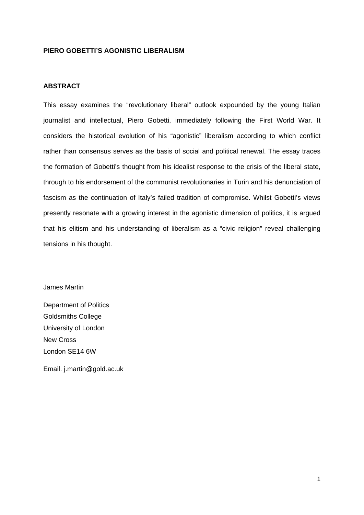# **PIERO GOBETTI'S AGONISTIC LIBERALISM**

### **ABSTRACT**

This essay examines the "revolutionary liberal" outlook expounded by the young Italian journalist and intellectual, Piero Gobetti, immediately following the First World War. It considers the historical evolution of his "agonistic" liberalism according to which conflict rather than consensus serves as the basis of social and political renewal. The essay traces the formation of Gobetti's thought from his idealist response to the crisis of the liberal state, through to his endorsement of the communist revolutionaries in Turin and his denunciation of fascism as the continuation of Italy's failed tradition of compromise. Whilst Gobetti's views presently resonate with a growing interest in the agonistic dimension of politics, it is argued that his elitism and his understanding of liberalism as a "civic religion" reveal challenging tensions in his thought.

James Martin

Department of Politics Goldsmiths College University of London New Cross London SE14 6W

Email. j.martin@gold.ac.uk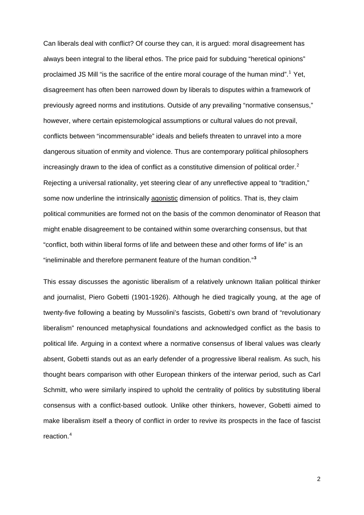Can liberals deal with conflict? Of course they can, it is argued: moral disagreement has always been integral to the liberal ethos. The price paid for subduing "heretical opinions" proclaimed JS Mill "is the sacrifice of the entire moral courage of the human mind".<sup>[1](#page-21-0)</sup> Yet, disagreement has often been narrowed down by liberals to disputes within a framework of previously agreed norms and institutions. Outside of any prevailing "normative consensus," however, where certain epistemological assumptions or cultural values do not prevail, conflicts between "incommensurable" ideals and beliefs threaten to unravel into a more dangerous situation of enmity and violence. Thus are contemporary political philosophers increasingly drawn to the idea of conflict as a constitutive dimension of political order. $<sup>2</sup>$  $<sup>2</sup>$  $<sup>2</sup>$ </sup> Rejecting a universal rationality, yet steering clear of any unreflective appeal to "tradition," some now underline the intrinsically agonistic dimension of politics. That is, they claim political communities are formed not on the basis of the common denominator of Reason that might enable disagreement to be contained within some overarching consensus, but that "conflict, both within liberal forms of life and between these and other forms of life" is an "ineliminable and therefore permanent feature of the human condition."**[3](#page-21-1)**

This essay discusses the agonistic liberalism of a relatively unknown Italian political thinker and journalist, Piero Gobetti (1901-1926). Although he died tragically young, at the age of twenty-five following a beating by Mussolini's fascists, Gobetti's own brand of "revolutionary liberalism" renounced metaphysical foundations and acknowledged conflict as the basis to political life. Arguing in a context where a normative consensus of liberal values was clearly absent, Gobetti stands out as an early defender of a progressive liberal realism. As such, his thought bears comparison with other European thinkers of the interwar period, such as Carl Schmitt, who were similarly inspired to uphold the centrality of politics by substituting liberal consensus with a conflict-based outlook. Unlike other thinkers, however, Gobetti aimed to make liberalism itself a theory of conflict in order to revive its prospects in the face of fascist reaction.<sup>[4](#page-21-1)</sup>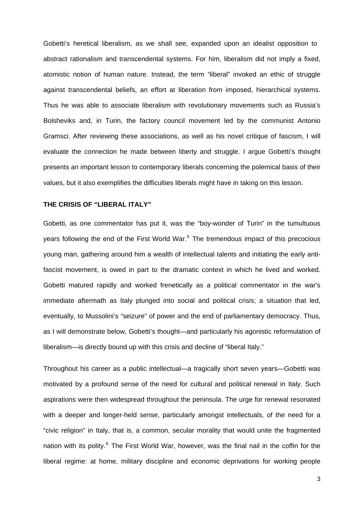Gobetti's heretical liberalism, as we shall see, expanded upon an idealist opposition to abstract rationalism and transcendental systems. For him, liberalism did not imply a fixed, atomistic notion of human nature. Instead, the term "liberal" invoked an ethic of struggle against transcendental beliefs, an effort at liberation from imposed, hierarchical systems. Thus he was able to associate liberalism with revolutionary movements such as Russia's Bolsheviks and, in Turin, the factory council movement led by the communist Antonio Gramsci. After reviewing these associations, as well as his novel critique of fascism, I will evaluate the connection he made between liberty and struggle. I argue Gobetti's thought presents an important lesson to contemporary liberals concerning the polemical basis of their values, but it also exemplifies the difficulties liberals might have in taking on this lesson.

## **THE CRISIS OF "LIBERAL ITALY"**

Gobetti, as one commentator has put it, was the "boy-wonder of Turin" in the tumultuous years following the end of the First World War.<sup>[5](#page-22-0)</sup> The tremendous impact of this precocious young man, gathering around him a wealth of intellectual talents and initiating the early antifascist movement, is owed in part to the dramatic context in which he lived and worked. Gobetti matured rapidly and worked frenetically as a political commentator in the war's immediate aftermath as Italy plunged into social and political crisis; a situation that led, eventually, to Mussolini's "seizure" of power and the end of parliamentary democracy. Thus, as I will demonstrate below, Gobetti's thought—and particularly his agonistic reformulation of liberalism—is directly bound up with this crisis and decline of "liberal Italy."

Throughout his career as a public intellectual—a tragically short seven years—Gobetti was motivated by a profound sense of the need for cultural and political renewal in Italy. Such aspirations were then widespread throughout the peninsula. The urge for renewal resonated with a deeper and longer-held sense, particularly amongst intellectuals, of the need for a "civic religion" in Italy, that is, a common, secular morality that would unite the fragmented nation with its polity.<sup>[6](#page-22-0)</sup> The First World War, however, was the final nail in the coffin for the liberal regime: at home, military discipline and economic deprivations for working people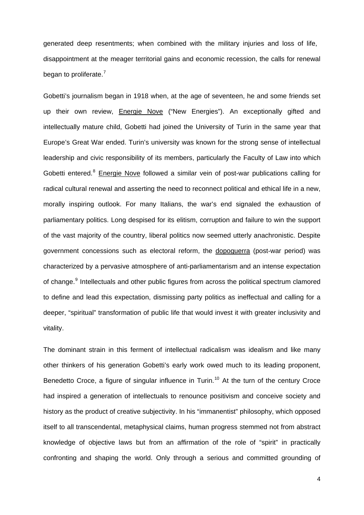generated deep resentments; when combined with the military injuries and loss of life, disappointment at the meager territorial gains and economic recession, the calls for renewal began to proliferate.<sup>[7](#page-22-0)</sup>

Gobetti's journalism began in 1918 when, at the age of seventeen, he and some friends set up their own review, Energie Nove ("New Energies"). An exceptionally gifted and intellectually mature child, Gobetti had joined the University of Turin in the same year that Europe's Great War ended. Turin's university was known for the strong sense of intellectual leadership and civic responsibility of its members, particularly the Faculty of Law into which Gobetti entered.<sup>[8](#page-22-0)</sup> Energie Nove followed a similar vein of post-war publications calling for radical cultural renewal and asserting the need to reconnect political and ethical life in a new, morally inspiring outlook. For many Italians, the war's end signaled the exhaustion of parliamentary politics. Long despised for its elitism, corruption and failure to win the support of the vast majority of the country, liberal politics now seemed utterly anachronistic. Despite government concessions such as electoral reform, the dopoguerra (post-war period) was characterized by a pervasive atmosphere of anti-parliamentarism and an intense expectation of change.<sup>[9](#page-22-0)</sup> Intellectuals and other public figures from across the political spectrum clamored to define and lead this expectation, dismissing party politics as ineffectual and calling for a deeper, "spiritual" transformation of public life that would invest it with greater inclusivity and vitality.

The dominant strain in this ferment of intellectual radicalism was idealism and like many other thinkers of his generation Gobetti's early work owed much to its leading proponent, Benedetto Croce, a figure of singular influence in Turin.<sup>[10](#page-22-0)</sup> At the turn of the century Croce had inspired a generation of intellectuals to renounce positivism and conceive society and history as the product of creative subjectivity. In his "immanentist" philosophy, which opposed itself to all transcendental, metaphysical claims, human progress stemmed not from abstract knowledge of objective laws but from an affirmation of the role of "spirit" in practically confronting and shaping the world. Only through a serious and committed grounding of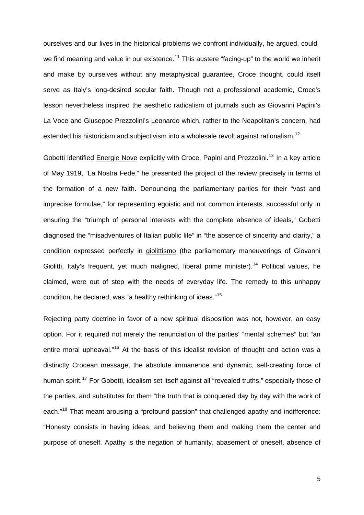ourselves and our lives in the historical problems we confront individually, he argued, could we find meaning and value in our existence.<sup>[11](#page-22-0)</sup> This austere "facing-up" to the world we inherit and make by ourselves without any metaphysical guarantee, Croce thought, could itself serve as Italy's long-desired secular faith. Though not a professional academic, Croce's lesson nevertheless inspired the aesthetic radicalism of journals such as Giovanni Papini's La Voce and Giuseppe Prezzolini's Leonardo which, rather to the Neapolitan's concern, had extended his historicism and subjectivism into a wholesale revolt against rationalism.<sup>[12](#page-22-0)</sup>

Gobetti identified Energie Nove explicitly with Croce, Papini and Prezzolini.<sup>[13](#page-22-0)</sup> In a key article of May 1919, "La Nostra Fede," he presented the project of the review precisely in terms of the formation of a new faith. Denouncing the parliamentary parties for their "vast and imprecise formulae," for representing egoistic and not common interests, successful only in ensuring the "triumph of personal interests with the complete absence of ideals," Gobetti diagnosed the "misadventures of Italian public life" in "the absence of sincerity and clarity," a condition expressed perfectly in giolittismo (the parliamentary maneuverings of Giovanni Giolitti, Italy's frequent, yet much maligned, liberal prime minister).<sup>[14](#page-22-0)</sup> Political values, he claimed, were out of step with the needs of everyday life. The remedy to this unhappy condition, he declared, was "a healthy rethinking of ideas."[15](#page-22-0)

Rejecting party doctrine in favor of a new spiritual disposition was not, however, an easy option. For it required not merely the renunciation of the parties' "mental schemes" but "an entire moral upheaval."<sup>[16](#page-22-0)</sup> At the basis of this idealist revision of thought and action was a distinctly Crocean message, the absolute immanence and dynamic, self-creating force of human spirit.<sup>[17](#page-23-0)</sup> For Gobetti, idealism set itself against all "revealed truths," especially those of the parties, and substitutes for them "the truth that is conquered day by day with the work of each."<sup>[18](#page-23-0)</sup> That meant arousing a "profound passion" that challenged apathy and indifference: "Honesty consists in having ideas, and believing them and making them the center and purpose of oneself. Apathy is the negation of humanity, abasement of oneself, absence of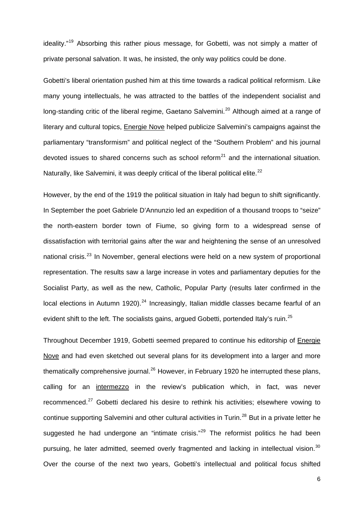ideality."<sup>[19](#page-23-0)</sup> Absorbing this rather pious message, for Gobetti, was not simply a matter of private personal salvation. It was, he insisted, the only way politics could be done.

Gobetti's liberal orientation pushed him at this time towards a radical political reformism. Like many young intellectuals, he was attracted to the battles of the independent socialist and long-standing critic of the liberal regime, Gaetano Salvemini.<sup>[20](#page-23-0)</sup> Although aimed at a range of literary and cultural topics, Energie Nove helped publicize Salvemini's campaigns against the parliamentary "transformism" and political neglect of the "Southern Problem" and his journal devoted issues to shared concerns such as school reform<sup>[21](#page-23-0)</sup> and the international situation. Naturally, like Salvemini, it was deeply critical of the liberal political elite.<sup>[22](#page-23-0)</sup>

However, by the end of the 1919 the political situation in Italy had begun to shift significantly. In September the poet Gabriele D'Annunzio led an expedition of a thousand troops to "seize" the north-eastern border town of Fiume, so giving form to a widespread sense of dissatisfaction with territorial gains after the war and heightening the sense of an unresolved national crisis.<sup>[23](#page-23-0)</sup> In November, general elections were held on a new system of proportional representation. The results saw a large increase in votes and parliamentary deputies for the Socialist Party, as well as the new, Catholic, Popular Party (results later confirmed in the local elections in Autumn 1920).<sup>[24](#page-23-0)</sup> Increasingly, Italian middle classes became fearful of an evident shift to the left. The socialists gains, argued Gobetti, portended Italy's ruin.<sup>[25](#page-23-0)</sup>

Throughout December 1919, Gobetti seemed prepared to continue his editorship of Energie Nove and had even sketched out several plans for its development into a larger and more thematically comprehensive journal.<sup>[26](#page-23-0)</sup> However, in February 1920 he interrupted these plans, calling for an intermezzo in the review's publication which, in fact, was never recommenced.<sup>[27](#page-23-0)</sup> Gobetti declared his desire to rethink his activities; elsewhere vowing to continue supporting Salvemini and other cultural activities in Turin.<sup>[28](#page-23-0)</sup> But in a private letter he suggested he had undergone an "intimate crisis."<sup>[29](#page-23-0)</sup> The reformist politics he had been pursuing, he later admitted, seemed overly fragmented and lacking in intellectual vision.<sup>[30](#page-23-0)</sup> Over the course of the next two years, Gobetti's intellectual and political focus shifted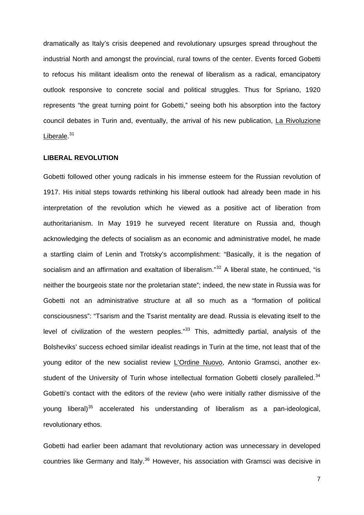dramatically as Italy's crisis deepened and revolutionary upsurges spread throughout the industrial North and amongst the provincial, rural towns of the center. Events forced Gobetti to refocus his militant idealism onto the renewal of liberalism as a radical, emancipatory outlook responsive to concrete social and political struggles. Thus for Spriano, 1920 represents "the great turning point for Gobetti," seeing both his absorption into the factory council debates in Turin and, eventually, the arrival of his new publication, La Rivoluzione Liberale.<sup>[31](#page-23-0)</sup>

#### **LIBERAL REVOLUTION**

Gobetti followed other young radicals in his immense esteem for the Russian revolution of 1917. His initial steps towards rethinking his liberal outlook had already been made in his interpretation of the revolution which he viewed as a positive act of liberation from authoritarianism. In May 1919 he surveyed recent literature on Russia and, though acknowledging the defects of socialism as an economic and administrative model, he made a startling claim of Lenin and Trotsky's accomplishment: "Basically, it is the negation of socialism and an affirmation and exaltation of liberalism."<sup>[32](#page-24-0)</sup> A liberal state, he continued, "is neither the bourgeois state nor the proletarian state"; indeed, the new state in Russia was for Gobetti not an administrative structure at all so much as a "formation of political consciousness": "Tsarism and the Tsarist mentality are dead. Russia is elevating itself to the level of civilization of the western peoples." $33$  This, admittedly partial, analysis of the Bolsheviks' success echoed similar idealist readings in Turin at the time, not least that of the young editor of the new socialist review L'Ordine Nuovo, Antonio Gramsci, another ex-student of the University of Turin whose intellectual formation Gobetti closely paralleled.<sup>[34](#page-24-0)</sup> Gobetti's contact with the editors of the review (who were initially rather dismissive of the young liberal)<sup>[35](#page-24-0)</sup> accelerated his understanding of liberalism as a pan-ideological, revolutionary ethos.

Gobetti had earlier been adamant that revolutionary action was unnecessary in developed countries like Germany and Italy.<sup>[36](#page-24-0)</sup> However, his association with Gramsci was decisive in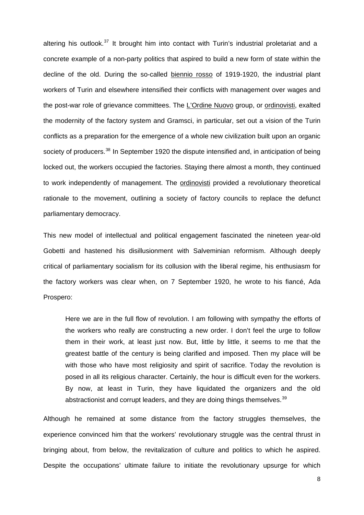altering his outlook. $37$  It brought him into contact with Turin's industrial proletariat and a concrete example of a non-party politics that aspired to build a new form of state within the decline of the old. During the so-called biennio rosso of 1919-1920, the industrial plant workers of Turin and elsewhere intensified their conflicts with management over wages and the post-war role of grievance committees. The L'Ordine Nuovo group, or ordinovisti, exalted the modernity of the factory system and Gramsci, in particular, set out a vision of the Turin conflicts as a preparation for the emergence of a whole new civilization built upon an organic society of producers.<sup>[38](#page-24-0)</sup> In September 1920 the dispute intensified and, in anticipation of being locked out, the workers occupied the factories. Staying there almost a month, they continued to work independently of management. The ordinovisti provided a revolutionary theoretical rationale to the movement, outlining a society of factory councils to replace the defunct parliamentary democracy.

This new model of intellectual and political engagement fascinated the nineteen year-old Gobetti and hastened his disillusionment with Salveminian reformism. Although deeply critical of parliamentary socialism for its collusion with the liberal regime, his enthusiasm for the factory workers was clear when, on 7 September 1920, he wrote to his fiancé, Ada Prospero:

Here we are in the full flow of revolution. I am following with sympathy the efforts of the workers who really are constructing a new order. I don't feel the urge to follow them in their work, at least just now. But, little by little, it seems to me that the greatest battle of the century is being clarified and imposed. Then my place will be with those who have most religiosity and spirit of sacrifice. Today the revolution is posed in all its religious character. Certainly, the hour is difficult even for the workers. By now, at least in Turin, they have liquidated the organizers and the old abstractionist and corrupt leaders, and they are doing things themselves.  $39$ 

Although he remained at some distance from the factory struggles themselves, the experience convinced him that the workers' revolutionary struggle was the central thrust in bringing about, from below, the revitalization of culture and politics to which he aspired. Despite the occupations' ultimate failure to initiate the revolutionary upsurge for which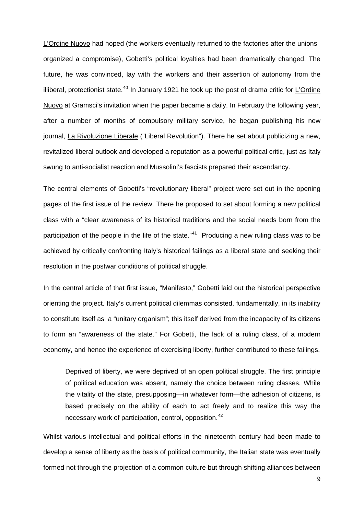L'Ordine Nuovo had hoped (the workers eventually returned to the factories after the unions organized a compromise), Gobetti's political loyalties had been dramatically changed. The future, he was convinced, lay with the workers and their assertion of autonomy from the illiberal, protectionist state.<sup>[40](#page-24-0)</sup> In January 1921 he took up the post of drama critic for L'Ordine Nuovo at Gramsci's invitation when the paper became a daily. In February the following year, after a number of months of compulsory military service, he began publishing his new journal, La Rivoluzione Liberale ("Liberal Revolution"). There he set about publicizing a new, revitalized liberal outlook and developed a reputation as a powerful political critic, just as Italy swung to anti-socialist reaction and Mussolini's fascists prepared their ascendancy.

The central elements of Gobetti's "revolutionary liberal" project were set out in the opening pages of the first issue of the review. There he proposed to set about forming a new political class with a "clear awareness of its historical traditions and the social needs born from the participation of the people in the life of the state."<sup>[41](#page-24-0)</sup> Producing a new ruling class was to be achieved by critically confronting Italy's historical failings as a liberal state and seeking their resolution in the postwar conditions of political struggle.

In the central article of that first issue, "Manifesto," Gobetti laid out the historical perspective orienting the project. Italy's current political dilemmas consisted, fundamentally, in its inability to constitute itself as a "unitary organism"; this itself derived from the incapacity of its citizens to form an "awareness of the state." For Gobetti, the lack of a ruling class, of a modern economy, and hence the experience of exercising liberty, further contributed to these failings.

Deprived of liberty, we were deprived of an open political struggle. The first principle of political education was absent, namely the choice between ruling classes. While the vitality of the state, presupposing—in whatever form—the adhesion of citizens, is based precisely on the ability of each to act freely and to realize this way the necessary work of participation, control, opposition.<sup>[42](#page-24-0)</sup>

Whilst various intellectual and political efforts in the nineteenth century had been made to develop a sense of liberty as the basis of political community, the Italian state was eventually formed not through the projection of a common culture but through shifting alliances between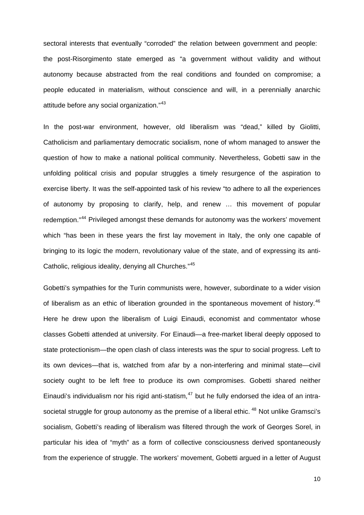sectoral interests that eventually "corroded" the relation between government and people: the post-Risorgimento state emerged as "a government without validity and without autonomy because abstracted from the real conditions and founded on compromise; a people educated in materialism, without conscience and will, in a perennially anarchic attitude before any social organization."[43](#page-24-0)

In the post-war environment, however, old liberalism was "dead," killed by Giolitti, Catholicism and parliamentary democratic socialism, none of whom managed to answer the question of how to make a national political community. Nevertheless, Gobetti saw in the unfolding political crisis and popular struggles a timely resurgence of the aspiration to exercise liberty. It was the self-appointed task of his review "to adhere to all the experiences of autonomy by proposing to clarify, help, and renew … this movement of popular redemption."[44](#page-25-0) Privileged amongst these demands for autonomy was the workers' movement which "has been in these years the first lay movement in Italy, the only one capable of bringing to its logic the modern, revolutionary value of the state, and of expressing its anti-Catholic, religious ideality, denying all Churches."<sup>[45](#page-25-0)</sup>

Gobetti's sympathies for the Turin communists were, however, subordinate to a wider vision of liberalism as an ethic of liberation grounded in the spontaneous movement of history.<sup>[46](#page-25-0)</sup> Here he drew upon the liberalism of Luigi Einaudi, economist and commentator whose classes Gobetti attended at university. For Einaudi—a free-market liberal deeply opposed to state protectionism—the open clash of class interests was the spur to social progress. Left to its own devices—that is, watched from afar by a non-interfering and minimal state—civil society ought to be left free to produce its own compromises. Gobetti shared neither Einaudi's individualism nor his rigid anti-statism,  $47$  but he fully endorsed the idea of an intra-societal struggle for group autonomy as the premise of a liberal ethic.<sup>[48](#page-25-0)</sup> Not unlike Gramsci's socialism, Gobetti's reading of liberalism was filtered through the work of Georges Sorel, in particular his idea of "myth" as a form of collective consciousness derived spontaneously from the experience of struggle. The workers' movement, Gobetti argued in a letter of August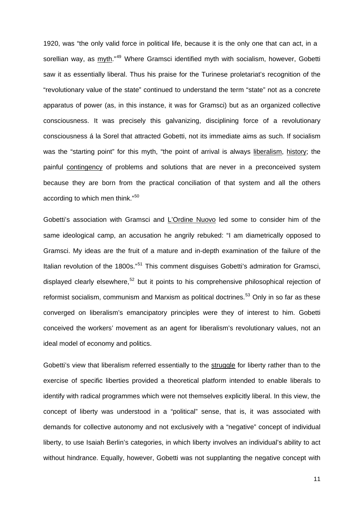1920, was "the only valid force in political life, because it is the only one that can act, in a sorellian way, as myth."<sup>[49](#page-25-0)</sup> Where Gramsci identified myth with socialism, however, Gobetti saw it as essentially liberal. Thus his praise for the Turinese proletariat's recognition of the "revolutionary value of the state" continued to understand the term "state" not as a concrete apparatus of power (as, in this instance, it was for Gramsci) but as an organized collective consciousness. It was precisely this galvanizing, disciplining force of a revolutionary consciousness á la Sorel that attracted Gobetti, not its immediate aims as such. If socialism was the "starting point" for this myth, "the point of arrival is always liberalism, history; the painful contingency of problems and solutions that are never in a preconceived system because they are born from the practical conciliation of that system and all the others according to which men think."[50](#page-25-0)

Gobetti's association with Gramsci and L'Ordine Nuovo led some to consider him of the same ideological camp, an accusation he angrily rebuked: "I am diametrically opposed to Gramsci. My ideas are the fruit of a mature and in-depth examination of the failure of the Italian revolution of the 1800s."<sup>[51](#page-25-0)</sup> This comment disquises Gobetti's admiration for Gramsci, displayed clearly elsewhere,<sup>[52](#page-25-0)</sup> but it points to his comprehensive philosophical rejection of reformist socialism, communism and Marxism as political doctrines.<sup>[53](#page-25-0)</sup> Only in so far as these converged on liberalism's emancipatory principles were they of interest to him. Gobetti conceived the workers' movement as an agent for liberalism's revolutionary values, not an ideal model of economy and politics.

Gobetti's view that liberalism referred essentially to the struggle for liberty rather than to the exercise of specific liberties provided a theoretical platform intended to enable liberals to identify with radical programmes which were not themselves explicitly liberal. In this view, the concept of liberty was understood in a "political" sense, that is, it was associated with demands for collective autonomy and not exclusively with a "negative" concept of individual liberty, to use Isaiah Berlin's categories, in which liberty involves an individual's ability to act without hindrance. Equally, however, Gobetti was not supplanting the negative concept with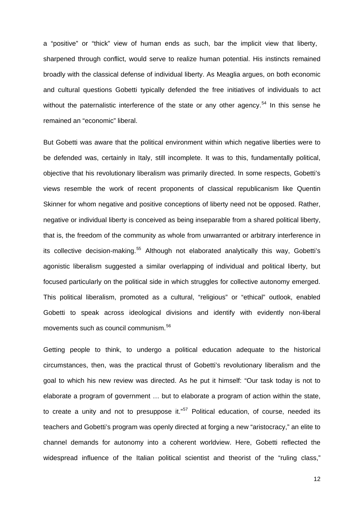a "positive" or "thick" view of human ends as such, bar the implicit view that liberty, sharpened through conflict, would serve to realize human potential. His instincts remained broadly with the classical defense of individual liberty. As Meaglia argues, on both economic and cultural questions Gobetti typically defended the free initiatives of individuals to act without the paternalistic interference of the state or any other agency.<sup>[54](#page-25-0)</sup> In this sense he remained an "economic" liberal.

But Gobetti was aware that the political environment within which negative liberties were to be defended was, certainly in Italy, still incomplete. It was to this, fundamentally political, objective that his revolutionary liberalism was primarily directed. In some respects, Gobetti's views resemble the work of recent proponents of classical republicanism like Quentin Skinner for whom negative and positive conceptions of liberty need not be opposed. Rather, negative or individual liberty is conceived as being inseparable from a shared political liberty, that is, the freedom of the community as whole from unwarranted or arbitrary interference in its collective decision-making.<sup>[55](#page-25-0)</sup> Although not elaborated analytically this way, Gobetti's agonistic liberalism suggested a similar overlapping of individual and political liberty, but focused particularly on the political side in which struggles for collective autonomy emerged. This political liberalism, promoted as a cultural, "religious" or "ethical" outlook, enabled Gobetti to speak across ideological divisions and identify with evidently non-liberal movements such as council communism.[56](#page-26-0)

Getting people to think, to undergo a political education adequate to the historical circumstances, then, was the practical thrust of Gobetti's revolutionary liberalism and the goal to which his new review was directed. As he put it himself: "Our task today is not to elaborate a program of government … but to elaborate a program of action within the state, to create a unity and not to presuppose it." $57$  Political education, of course, needed its teachers and Gobetti's program was openly directed at forging a new "aristocracy," an elite to channel demands for autonomy into a coherent worldview. Here, Gobetti reflected the widespread influence of the Italian political scientist and theorist of the "ruling class,"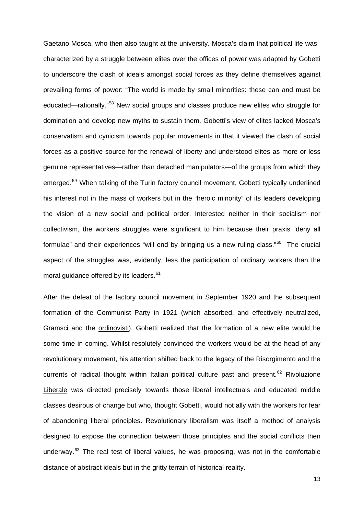Gaetano Mosca, who then also taught at the university. Mosca's claim that political life was characterized by a struggle between elites over the offices of power was adapted by Gobetti to underscore the clash of ideals amongst social forces as they define themselves against prevailing forms of power: "The world is made by small minorities: these can and must be educated—rationally."[58](#page-26-0) New social groups and classes produce new elites who struggle for domination and develop new myths to sustain them. Gobetti's view of elites lacked Mosca's conservatism and cynicism towards popular movements in that it viewed the clash of social forces as a positive source for the renewal of liberty and understood elites as more or less genuine representatives—rather than detached manipulators—of the groups from which they emerged.<sup>[59](#page-26-0)</sup> When talking of the Turin factory council movement, Gobetti typically underlined his interest not in the mass of workers but in the "heroic minority" of its leaders developing the vision of a new social and political order. Interested neither in their socialism nor collectivism, the workers struggles were significant to him because their praxis "deny all formulae" and their experiences "will end by bringing us a new ruling class."<sup>[60](#page-26-0)</sup> The crucial aspect of the struggles was, evidently, less the participation of ordinary workers than the moral guidance offered by its leaders.<sup>[61](#page-26-0)</sup>

After the defeat of the factory council movement in September 1920 and the subsequent formation of the Communist Party in 1921 (which absorbed, and effectively neutralized, Gramsci and the ordinovisti), Gobetti realized that the formation of a new elite would be some time in coming. Whilst resolutely convinced the workers would be at the head of any revolutionary movement, his attention shifted back to the legacy of the Risorgimento and the currents of radical thought within Italian political culture past and present.<sup>[62](#page-26-0)</sup> Rivoluzione Liberale was directed precisely towards those liberal intellectuals and educated middle classes desirous of change but who, thought Gobetti, would not ally with the workers for fear of abandoning liberal principles. Revolutionary liberalism was itself a method of analysis designed to expose the connection between those principles and the social conflicts then underway.<sup>[63](#page-26-0)</sup> The real test of liberal values, he was proposing, was not in the comfortable distance of abstract ideals but in the gritty terrain of historical reality.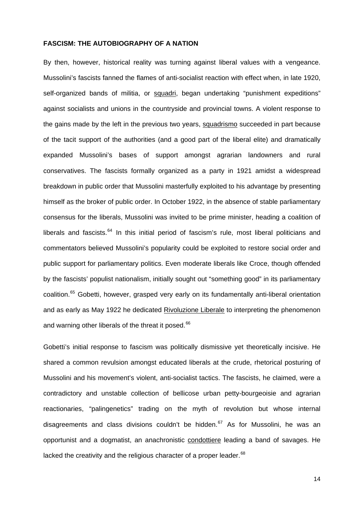### **FASCISM: THE AUTOBIOGRAPHY OF A NATION**

By then, however, historical reality was turning against liberal values with a vengeance. Mussolini's fascists fanned the flames of anti-socialist reaction with effect when, in late 1920, self-organized bands of militia, or squadri, began undertaking "punishment expeditions" against socialists and unions in the countryside and provincial towns. A violent response to the gains made by the left in the previous two years, squadrismo succeeded in part because of the tacit support of the authorities (and a good part of the liberal elite) and dramatically expanded Mussolini's bases of support amongst agrarian landowners and rural conservatives. The fascists formally organized as a party in 1921 amidst a widespread breakdown in public order that Mussolini masterfully exploited to his advantage by presenting himself as the broker of public order. In October 1922, in the absence of stable parliamentary consensus for the liberals, Mussolini was invited to be prime minister, heading a coalition of liberals and fascists.<sup>[64](#page-26-0)</sup> In this initial period of fascism's rule, most liberal politicians and commentators believed Mussolini's popularity could be exploited to restore social order and public support for parliamentary politics. Even moderate liberals like Croce, though offended by the fascists' populist nationalism, initially sought out "something good" in its parliamentary coalition.<sup>[65](#page-26-0)</sup> Gobetti, however, grasped very early on its fundamentally anti-liberal orientation and as early as May 1922 he dedicated Rivoluzione Liberale to interpreting the phenomenon and warning other liberals of the threat it posed.<sup>[66](#page-26-0)</sup>

Gobetti's initial response to fascism was politically dismissive yet theoretically incisive. He shared a common revulsion amongst educated liberals at the crude, rhetorical posturing of Mussolini and his movement's violent, anti-socialist tactics. The fascists, he claimed, were a contradictory and unstable collection of bellicose urban petty-bourgeoisie and agrarian reactionaries, "palingenetics" trading on the myth of revolution but whose internal disagreements and class divisions couldn't be hidden. $67$  As for Mussolini, he was an opportunist and a dogmatist, an anachronistic condottiere leading a band of savages. He lacked the creativity and the religious character of a proper leader.<sup>[68](#page-26-0)</sup>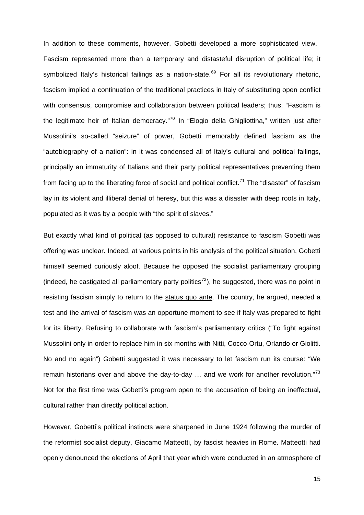In addition to these comments, however, Gobetti developed a more sophisticated view. Fascism represented more than a temporary and distasteful disruption of political life; it symbolized Italy's historical failings as a nation-state.<sup>[69](#page-26-0)</sup> For all its revolutionary rhetoric, fascism implied a continuation of the traditional practices in Italy of substituting open conflict with consensus, compromise and collaboration between political leaders; thus, "Fascism is the legitimate heir of Italian democracy."<sup>[70](#page-26-0)</sup> In "Elogio della Ghigliottina," written just after Mussolini's so-called "seizure" of power, Gobetti memorably defined fascism as the "autobiography of a nation": in it was condensed all of Italy's cultural and political failings, principally an immaturity of Italians and their party political representatives preventing them from facing up to the liberating force of social and political conflict.<sup>[71](#page-26-0)</sup> The "disaster" of fascism lay in its violent and illiberal denial of heresy, but this was a disaster with deep roots in Italy, populated as it was by a people with "the spirit of slaves."

But exactly what kind of political (as opposed to cultural) resistance to fascism Gobetti was offering was unclear. Indeed, at various points in his analysis of the political situation, Gobetti himself seemed curiously aloof. Because he opposed the socialist parliamentary grouping (indeed, he castigated all parliamentary party politics<sup>[72](#page-27-0)</sup>), he suggested, there was no point in resisting fascism simply to return to the status quo ante. The country, he argued, needed a test and the arrival of fascism was an opportune moment to see if Italy was prepared to fight for its liberty. Refusing to collaborate with fascism's parliamentary critics ("To fight against Mussolini only in order to replace him in six months with Nitti, Cocco-Ortu, Orlando or Giolitti. No and no again") Gobetti suggested it was necessary to let fascism run its course: "We remain historians over and above the day-to-day  $\ldots$  and we work for another revolution."<sup>[73](#page-27-0)</sup> Not for the first time was Gobetti's program open to the accusation of being an ineffectual, cultural rather than directly political action.

However, Gobetti's political instincts were sharpened in June 1924 following the murder of the reformist socialist deputy, Giacamo Matteotti, by fascist heavies in Rome. Matteotti had openly denounced the elections of April that year which were conducted in an atmosphere of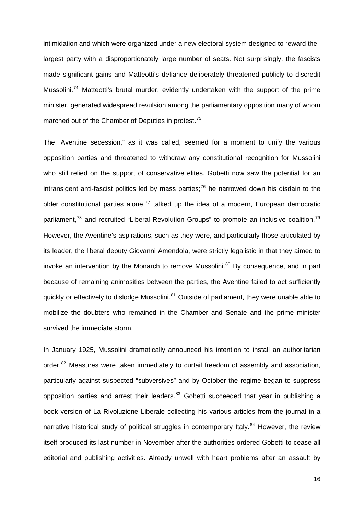intimidation and which were organized under a new electoral system designed to reward the largest party with a disproportionately large number of seats. Not surprisingly, the fascists made significant gains and Matteotti's defiance deliberately threatened publicly to discredit Mussolini.<sup>[74](#page-27-0)</sup> Matteotti's brutal murder, evidently undertaken with the support of the prime minister, generated widespread revulsion among the parliamentary opposition many of whom marched out of the Chamber of Deputies in protest.<sup>[75](#page-27-0)</sup>

The "Aventine secession," as it was called, seemed for a moment to unify the various opposition parties and threatened to withdraw any constitutional recognition for Mussolini who still relied on the support of conservative elites. Gobetti now saw the potential for an intransigent anti-fascist politics led by mass parties;<sup>[76](#page-27-0)</sup> he narrowed down his disdain to the older constitutional parties alone, $77$  talked up the idea of a modern, European democratic parliament,<sup>[78](#page-27-0)</sup> and recruited "Liberal Revolution Groups" to promote an inclusive coalition.<sup>[79](#page-27-0)</sup> However, the Aventine's aspirations, such as they were, and particularly those articulated by its leader, the liberal deputy Giovanni Amendola, were strictly legalistic in that they aimed to invoke an intervention by the Monarch to remove Mussolini.<sup>[80](#page-27-0)</sup> By consequence, and in part because of remaining animosities between the parties, the Aventine failed to act sufficiently quickly or effectively to dislodge Mussolini.<sup>[81](#page-27-0)</sup> Outside of parliament, they were unable able to mobilize the doubters who remained in the Chamber and Senate and the prime minister survived the immediate storm.

In January 1925, Mussolini dramatically announced his intention to install an authoritarian order.<sup>[82](#page-27-0)</sup> Measures were taken immediately to curtail freedom of assembly and association, particularly against suspected "subversives" and by October the regime began to suppress opposition parties and arrest their leaders.<sup>[83](#page-27-0)</sup> Gobetti succeeded that year in publishing a book version of La Rivoluzione Liberale collecting his various articles from the journal in a narrative historical study of political struggles in contemporary Italy.<sup>[84](#page-27-0)</sup> However, the review itself produced its last number in November after the authorities ordered Gobetti to cease all editorial and publishing activities. Already unwell with heart problems after an assault by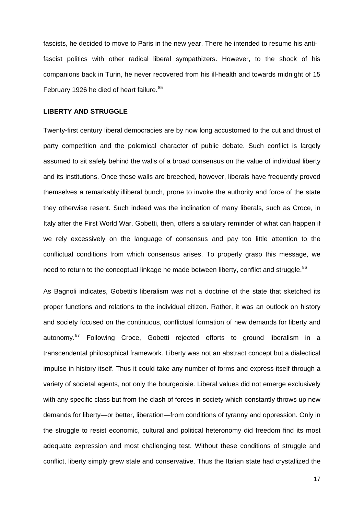fascists, he decided to move to Paris in the new year. There he intended to resume his antifascist politics with other radical liberal sympathizers. However, to the shock of his companions back in Turin, he never recovered from his ill-health and towards midnight of 15 February 1926 he died of heart failure.<sup>[85](#page-27-0)</sup>

### **LIBERTY AND STRUGGLE**

Twenty-first century liberal democracies are by now long accustomed to the cut and thrust of party competition and the polemical character of public debate. Such conflict is largely assumed to sit safely behind the walls of a broad consensus on the value of individual liberty and its institutions. Once those walls are breeched, however, liberals have frequently proved themselves a remarkably illiberal bunch, prone to invoke the authority and force of the state they otherwise resent. Such indeed was the inclination of many liberals, such as Croce, in Italy after the First World War. Gobetti, then, offers a salutary reminder of what can happen if we rely excessively on the language of consensus and pay too little attention to the conflictual conditions from which consensus arises. To properly grasp this message, we need to return to the conceptual linkage he made between liberty, conflict and struggle.<sup>[86](#page-27-0)</sup>

As Bagnoli indicates, Gobetti's liberalism was not a doctrine of the state that sketched its proper functions and relations to the individual citizen. Rather, it was an outlook on history and society focused on the continuous, conflictual formation of new demands for liberty and autonomy.<sup>[87](#page-27-0)</sup> Following Croce, Gobetti rejected efforts to ground liberalism in a transcendental philosophical framework. Liberty was not an abstract concept but a dialectical impulse in history itself. Thus it could take any number of forms and express itself through a variety of societal agents, not only the bourgeoisie. Liberal values did not emerge exclusively with any specific class but from the clash of forces in society which constantly throws up new demands for liberty—or better, liberation—from conditions of tyranny and oppression. Only in the struggle to resist economic, cultural and political heteronomy did freedom find its most adequate expression and most challenging test. Without these conditions of struggle and conflict, liberty simply grew stale and conservative. Thus the Italian state had crystallized the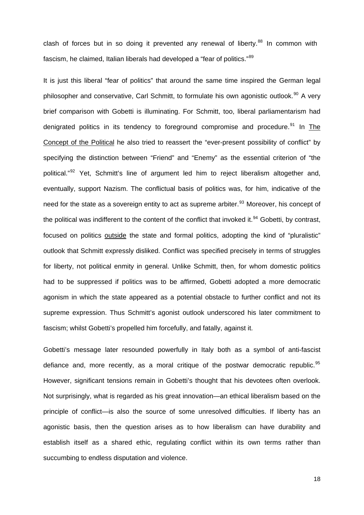fascism, he claimed, Italian liberals had developed a "fear of politics."<sup>89</sup> clash of forces but in so doing it prevented any renewal of liberty. $88$  In common with

It is just this liberal "fear of politics" that around the same time inspired the German legal philosopher and conservative, Carl Schmitt, to formulate his own agonistic outlook.<sup>[90](#page-28-0)</sup> A very brief comparison with Gobetti is illuminating. For Schmitt, too, liberal parliamentarism had denigrated politics in its tendency to foreground compromise and procedure.<sup>[91](#page-28-0)</sup> In The Concept of the Political he also tried to reassert the "ever-present possibility of conflict" by specifying the distinction between "Friend" and "Enemy" as the essential criterion of "the political."<sup>[92](#page-28-0)</sup> Yet, Schmitt's line of argument led him to reject liberalism altogether and, eventually, support Nazism. The conflictual basis of politics was, for him, indicative of the need for the state as a sovereign entity to act as supreme arbiter.<sup>[93](#page-28-0)</sup> Moreover, his concept of the political was indifferent to the content of the conflict that invoked it.<sup>[94](#page-28-0)</sup> Gobetti, by contrast, focused on politics outside the state and formal politics, adopting the kind of "pluralistic" outlook that Schmitt expressly disliked. Conflict was specified precisely in terms of struggles for liberty, not political enmity in general. Unlike Schmitt, then, for whom domestic politics had to be suppressed if politics was to be affirmed, Gobetti adopted a more democratic agonism in which the state appeared as a potential obstacle to further conflict and not its supreme expression. Thus Schmitt's agonist outlook underscored his later commitment to fascism; whilst Gobetti's propelled him forcefully, and fatally, against it.

Gobetti's message later resounded powerfully in Italy both as a symbol of anti-fascist defiance and, more recently, as a moral critique of the postwar democratic republic.  $95$ However, significant tensions remain in Gobetti's thought that his devotees often overlook. Not surprisingly, what is regarded as his great innovation—an ethical liberalism based on the principle of conflict—is also the source of some unresolved difficulties. If liberty has an agonistic basis, then the question arises as to how liberalism can have durability and establish itself as a shared ethic, regulating conflict within its own terms rather than succumbing to endless disputation and violence.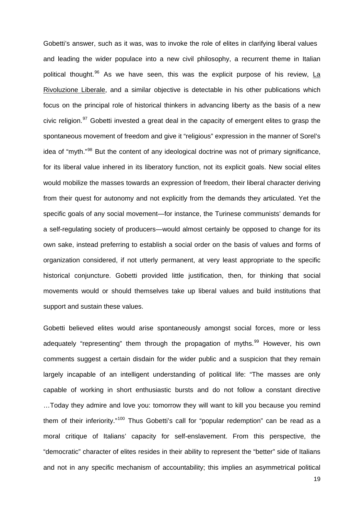Gobetti's answer, such as it was, was to invoke the role of elites in clarifying liberal values and leading the wider populace into a new civil philosophy, a recurrent theme in Italian political thought.<sup>[96](#page-28-0)</sup> As we have seen, this was the explicit purpose of his review, La Rivoluzione Liberale, and a similar objective is detectable in his other publications which focus on the principal role of historical thinkers in advancing liberty as the basis of a new civic religion. $97$  Gobetti invested a great deal in the capacity of emergent elites to grasp the spontaneous movement of freedom and give it "religious" expression in the manner of Sorel's idea of "myth."<sup>[98](#page-28-0)</sup> But the content of any ideological doctrine was not of primary significance, for its liberal value inhered in its liberatory function, not its explicit goals. New social elites would mobilize the masses towards an expression of freedom, their liberal character deriving from their quest for autonomy and not explicitly from the demands they articulated. Yet the specific goals of any social movement—for instance, the Turinese communists' demands for a self-regulating society of producers—would almost certainly be opposed to change for its own sake, instead preferring to establish a social order on the basis of values and forms of organization considered, if not utterly permanent, at very least appropriate to the specific historical conjuncture. Gobetti provided little justification, then, for thinking that social movements would or should themselves take up liberal values and build institutions that support and sustain these values.

Gobetti believed elites would arise spontaneously amongst social forces, more or less adequately "representing" them through the propagation of myths.<sup>[99](#page-28-0)</sup> However, his own comments suggest a certain disdain for the wider public and a suspicion that they remain largely incapable of an intelligent understanding of political life: "The masses are only capable of working in short enthusiastic bursts and do not follow a constant directive …Today they admire and love you: tomorrow they will want to kill you because you remind them of their inferiority."<sup>[100](#page-28-0)</sup> Thus Gobetti's call for "popular redemption" can be read as a moral critique of Italians' capacity for self-enslavement. From this perspective, the "democratic" character of elites resides in their ability to represent the "better" side of Italians and not in any specific mechanism of accountability; this implies an asymmetrical political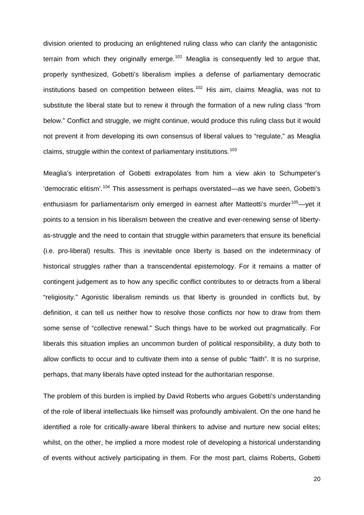division oriented to producing an enlightened ruling class who can clarify the antagonistic terrain from which they originally emerge.<sup>[101](#page-28-0)</sup> Meaglia is consequently led to argue that, properly synthesized, Gobetti's liberalism implies a defense of parliamentary democratic institutions based on competition between elites.<sup>[102](#page-29-0)</sup> His aim, claims Meaglia, was not to substitute the liberal state but to renew it through the formation of a new ruling class "from below." Conflict and struggle, we might continue, would produce this ruling class but it would not prevent it from developing its own consensus of liberal values to "regulate," as Meaglia claims, struggle within the context of parliamentary institutions.<sup>[103](#page-29-0)</sup>

Meaglia's interpretation of Gobetti extrapolates from him a view akin to Schumpeter's 'democratic elitism'.[104](#page-29-0) This assessment is perhaps overstated—as we have seen, Gobetti's enthusiasm for parliamentarism only emerged in earnest after Matteotti's murder<sup>[105](#page-29-0)</sup>—yet it points to a tension in his liberalism between the creative and ever-renewing sense of libertyas-struggle and the need to contain that struggle within parameters that ensure its beneficial (i.e. pro-liberal) results. This is inevitable once liberty is based on the indeterminacy of historical struggles rather than a transcendental epistemology. For it remains a matter of contingent judgement as to how any specific conflict contributes to or detracts from a liberal "religiosity." Agonistic liberalism reminds us that liberty is grounded in conflicts but, by definition, it can tell us neither how to resolve those conflicts nor how to draw from them some sense of "collective renewal." Such things have to be worked out pragmatically. For liberals this situation implies an uncommon burden of political responsibility, a duty both to allow conflicts to occur and to cultivate them into a sense of public "faith". It is no surprise, perhaps, that many liberals have opted instead for the authoritarian response.

The problem of this burden is implied by David Roberts who argues Gobetti's understanding of the role of liberal intellectuals like himself was profoundly ambivalent. On the one hand he identified a role for critically-aware liberal thinkers to advise and nurture new social elites; whilst, on the other, he implied a more modest role of developing a historical understanding of events without actively participating in them. For the most part, claims Roberts, Gobetti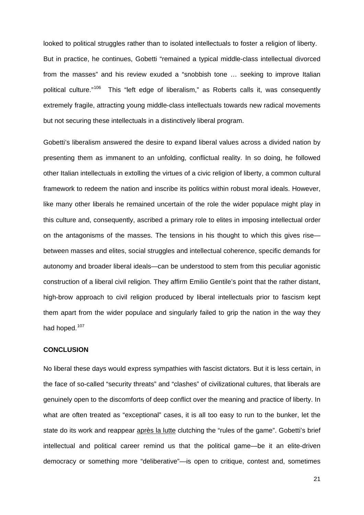looked to political struggles rather than to isolated intellectuals to foster a religion of liberty. But in practice, he continues, Gobetti "remained a typical middle-class intellectual divorced from the masses" and his review exuded a "snobbish tone … seeking to improve Italian political culture."<sup>[106](#page-29-0)</sup> This "left edge of liberalism," as Roberts calls it, was consequently extremely fragile, attracting young middle-class intellectuals towards new radical movements but not securing these intellectuals in a distinctively liberal program.

Gobetti's liberalism answered the desire to expand liberal values across a divided nation by presenting them as immanent to an unfolding, conflictual reality. In so doing, he followed other Italian intellectuals in extolling the virtues of a civic religion of liberty, a common cultural framework to redeem the nation and inscribe its politics within robust moral ideals. However, like many other liberals he remained uncertain of the role the wider populace might play in this culture and, consequently, ascribed a primary role to elites in imposing intellectual order on the antagonisms of the masses. The tensions in his thought to which this gives rise between masses and elites, social struggles and intellectual coherence, specific demands for autonomy and broader liberal ideals—can be understood to stem from this peculiar agonistic construction of a liberal civil religion. They affirm Emilio Gentile's point that the rather distant, high-brow approach to civil religion produced by liberal intellectuals prior to fascism kept them apart from the wider populace and singularly failed to grip the nation in the way they had hoped.<sup>[107](#page-29-0)</sup>

#### **CONCLUSION**

No liberal these days would express sympathies with fascist dictators. But it is less certain, in the face of so-called "security threats" and "clashes" of civilizational cultures, that liberals are genuinely open to the discomforts of deep conflict over the meaning and practice of liberty. In what are often treated as "exceptional" cases, it is all too easy to run to the bunker, let the state do its work and reappear après la lutte clutching the "rules of the game". Gobetti's brief intellectual and political career remind us that the political game—be it an elite-driven democracy or something more "deliberative"—is open to critique, contest and, sometimes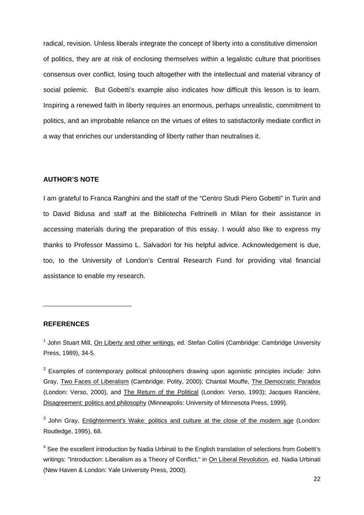<span id="page-21-1"></span>radical, revision. Unless liberals integrate the concept of liberty into a constitutive dimension of politics, they are at risk of enclosing themselves within a legalistic culture that prioritises consensus over conflict, losing touch altogether with the intellectual and material vibrancy of social polemic. But Gobetti's example also indicates how difficult this lesson is to learn. Inspiring a renewed faith in liberty requires an enormous, perhaps unrealistic, commitment to politics, and an improbable reliance on the virtues of elites to satisfactorily mediate conflict in a way that enriches our understanding of liberty rather than neutralises it.

### **AUTHOR'S NOTE**

I am grateful to Franca Ranghini and the staff of the "Centro Studi Piero Gobetti" in Turin and to David Bidusa and staff at the Bibliotecha Feltrinelli in Milan for their assistance in accessing materials during the preparation of this essay. I would also like to express my thanks to Professor Massimo L. Salvadori for his helpful advice. Acknowledgement is due, too, to the University of London's Central Research Fund for providing vital financial assistance to enable my research.

## <span id="page-21-0"></span>**REFERENCES**

-

<sup>1</sup> John Stuart Mill, On Liberty and other writings, ed. Stefan Collini (Cambridge: Cambridge University Press, 1989), 34-5.

 $2$  Examples of contemporary political philosophers drawing upon agonistic principles include: John Gray, Two Faces of Liberalism (Cambridge: Polity, 2000); Chantal Mouffe, The Democratic Paradox (London: Verso, 2000), and The Return of the Political (London: Verso, 1993); Jacques Rancière, Disagreement: politics and philosophy (Minneapolis: University of Minnesota Press, 1999).

<sup>3</sup> John Gray, *Enlightenment's Wake: politics and culture at the close of the modern age (London:* Routledge, 1995), 68.

<sup>4</sup> See the excellent introduction by Nadia Urbinati to the English translation of selections from Gobetti's writings: "Introduction: Liberalism as a Theory of Conflict," in On Liberal Revolution, ed. Nadia Urbinati (New Haven & London: Yale University Press, 2000).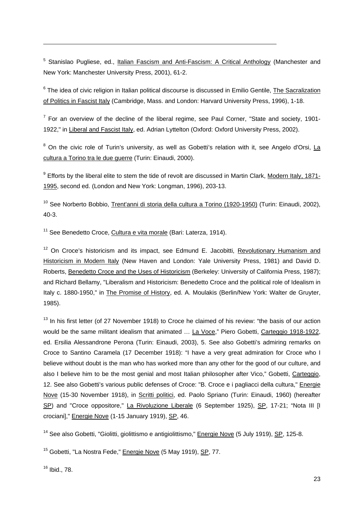<span id="page-22-0"></span><sup>5</sup> Stanislao Pugliese, ed., *Italian Fascism and Anti-Fascism: A Critical Anthology (Manchester and* New York: Manchester University Press, 2001), 61-2.

<sup>6</sup> The idea of civic religion in Italian political discourse is discussed in Emilio Gentile, The Sacralization of Politics in Fascist Italy (Cambridge, Mass. and London: Harvard University Press, 1996), 1-18.

 $7$  For an overview of the decline of the liberal regime, see Paul Corner, "State and society, 1901-1922," in Liberal and Fascist Italy, ed. Adrian Lyttelton (Oxford: Oxford University Press, 2002).

 $8$  On the civic role of Turin's university, as well as Gobetti's relation with it, see Angelo d'Orsi, La cultura a Torino tra le due guerre (Turin: Einaudi, 2000).

<sup>9</sup> Efforts by the liberal elite to stem the tide of revolt are discussed in Martin Clark, Modern Italy, 1871-1995, second ed. (London and New York: Longman, 1996), 203-13.

 $10$  See Norberto Bobbio, Trent'anni di storia della cultura a Torino (1920-1950) (Turin: Einaudi, 2002), 40-3.

<sup>11</sup> See Benedetto Croce, Cultura e vita morale (Bari: Laterza, 1914).

 $12$  On Croce's historicism and its impact, see Edmund E. Jacobitti, Revolutionary Humanism and Historicism in Modern Italy (New Haven and London: Yale University Press, 1981) and David D. Roberts, Benedetto Croce and the Uses of Historicism (Berkeley: University of California Press, 1987); and Richard Bellamy, "Liberalism and Historicism: Benedetto Croce and the political role of Idealism in Italy c. 1880-1950," in The Promise of History, ed. A. Moulakis (Berlin/New York: Walter de Gruyter, 1985).

<sup>13</sup> In his first letter (of 27 November 1918) to Croce he claimed of his review: "the basis of our action would be the same militant idealism that animated … La Voce," Piero Gobetti, Carteggio 1918-1922, ed. Ersilia Alessandrone Perona (Turin: Einaudi, 2003), 5. See also Gobetti's admiring remarks on Croce to Santino Caramela (17 December 1918): "I have a very great admiration for Croce who I believe without doubt is the man who has worked more than any other for the good of our culture, and also I believe him to be the most genial and most Italian philosopher after Vico," Gobetti, Carteggio, 12. See also Gobetti's various public defenses of Croce: "B. Croce e i pagliacci della cultura," Energie Nove (15-30 November 1918), in Scritti politici, ed. Paolo Spriano (Turin: Einaudi, 1960) (hereafter SP) and "Croce oppositore," La Rivoluzione Liberale (6 September 1925), SP, 17-21; "Nota III [I crociani]," Energie Nove (1-15 January 1919), SP, 46.

<sup>14</sup> See also Gobetti, "Giolitti, giolittismo e antigiolittismo," Energie Nove (5 July 1919), SP, 125-8.

15 Gobetti, "La Nostra Fede," Energie Nove (5 May 1919), SP, 77.

 $16$  Ibid., 78.

-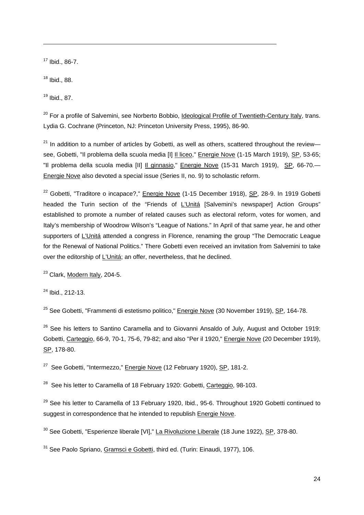$17$  Ibid., 86-7.

<span id="page-23-0"></span>-

 $18$  Ibid., 88.

 $19$  Ibid., 87.

<sup>20</sup> For a profile of Salvemini, see Norberto Bobbio, Ideological Profile of Twentieth-Century Italy, trans. Lydia G. Cochrane (Princeton, NJ: Princeton University Press, 1995), 86-90.

 $21$  In addition to a number of articles by Gobetti, as well as others, scattered throughout the reviewsee, Gobetti, "Il problema della scuola media [I] Il liceo," Energie Nove (1-15 March 1919), SP, 53-65; "Il problema della scuola media [II] Il ginnasio," Energie Nove (15-31 March 1919), SP, 66-70. Energie Nove also devoted a special issue (Series II, no. 9) to scholastic reform.

<sup>22</sup> Gobetti, "Traditore o incapace?," Energie Nove (1-15 December 1918), SP, 28-9. In 1919 Gobetti headed the Turin section of the "Friends of L'Unitá [Salvemini's newspaper] Action Groups" established to promote a number of related causes such as electoral reform, votes for women, and Italy's membership of Woodrow Wilson's "League of Nations." In April of that same year, he and other supporters of L'Unitá attended a congress in Florence, renaming the group "The Democratic League for the Renewal of National Politics." There Gobetti even received an invitation from Salvemini to take over the editorship of L'Unitá; an offer, nevertheless, that he declined.

23 Clark, Modern Italy, 204-5.

 $24$  Ibid., 212-13.

<sup>25</sup> See Gobetti, "Frammenti di estetismo politico," Energie Nove (30 November 1919), SP, 164-78.

 $26$  See his letters to Santino Caramella and to Giovanni Ansaldo of July, August and October 1919: Gobetti, Carteggio, 66-9, 70-1, 75-6, 79-82; and also "Per il 1920," Energie Nove (20 December 1919), SP, 178-80.

 $27$  See Gobetti, "Intermezzo," Energie Nove (12 February 1920), SP, 181-2.

<sup>28</sup> See his letter to Caramella of 18 February 1920: Gobetti, Carteggio, 98-103.

 $29$  See his letter to Caramella of 13 February 1920, Ibid., 95-6. Throughout 1920 Gobetti continued to suggest in correspondence that he intended to republish Energie Nove.

<sup>30</sup> See Gobetti, "Esperienze liberale [VI]," La Rivoluzione Liberale (18 June 1922), SP, 378-80.

<sup>31</sup> See Paolo Spriano, Gramsci e Gobetti, third ed. (Turin: Einaudi, 1977), 106.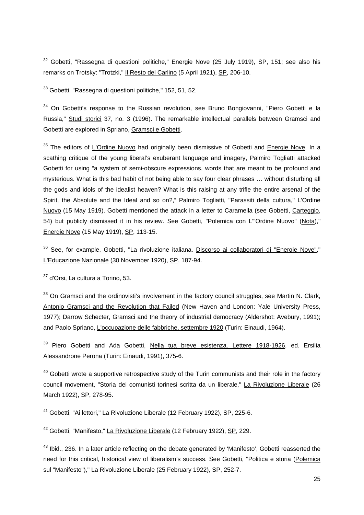<span id="page-24-0"></span><sup>32</sup> Gobetti, "Rassegna di questioni politiche," Energie Nove (25 July 1919), SP, 151; see also his remarks on Trotsky: "Trotzki," Il Resto del Carlino (5 April 1921), SP, 206-10.

33 Gobetti, "Rassegna di questioni politiche," 152, 51, 52.

-

<sup>34</sup> On Gobetti's response to the Russian revolution, see Bruno Bongiovanni, "Piero Gobetti e la Russia," Studi storici 37, no. 3 (1996). The remarkable intellectual parallels between Gramsci and Gobetti are explored in Spriano, Gramsci e Gobetti.

 $35$  The editors of L'Ordine Nuovo had originally been dismissive of Gobetti and Energie Nove. In a scathing critique of the young liberal's exuberant language and imagery, Palmiro Togliatti attacked Gobetti for using "a system of semi-obscure expressions, words that are meant to be profound and mysterious. What is this bad habit of not being able to say four clear phrases … without disturbing all the gods and idols of the idealist heaven? What is this raising at any trifle the entire arsenal of the Spirit, the Absolute and the Ideal and so on?," Palmiro Togliatti, "Parassiti della cultura," L'Ordine Nuovo (15 May 1919). Gobetti mentioned the attack in a letter to Caramella (see Gobetti, Carteggio, 54) but publicly dismissed it in his review. See Gobetti, "Polemica con L'"Ordine Nuovo" (Nota)," Energie Nove (15 May 1919), SP, 113-15.

36 See, for example, Gobetti, "La rivoluzione italiana. Discorso ai collaboratori di "Energie Nove"," L'Educazione Nazionale (30 November 1920), SP, 187-94.

37 d'Orsi, La cultura a Torino, 53.

<sup>38</sup> On Gramsci and the ordinovisti's involvement in the factory council struggles, see Martin N. Clark, Antonio Gramsci and the Revolution that Failed (New Haven and London: Yale University Press, 1977); Darrow Schecter, Gramsci and the theory of industrial democracy (Aldershot: Avebury, 1991); and Paolo Spriano, L'occupazione delle fabbriche, settembre 1920 (Turin: Einaudi, 1964).

<sup>39</sup> Piero Gobetti and Ada Gobetti, Nella tua breve esistenza. Lettere 1918-1926, ed. Ersilia Alessandrone Perona (Turin: Einaudi, 1991), 375-6.

 $40$  Gobetti wrote a supportive retrospective study of the Turin communists and their role in the factory council movement, "Storia dei comunisti torinesi scritta da un liberale," La Rivoluzione Liberale (26 March 1922), SP, 278-95.

41 Gobetti, "Ai lettori," La Rivoluzione Liberale (12 February 1922), SP, 225-6.

42 Gobetti, "Manifesto," La Rivoluzione Liberale (12 February 1922), SP, 229.

<sup>43</sup> Ibid., 236. In a later article reflecting on the debate generated by 'Manifesto', Gobetti reasserted the need for this critical, historical view of liberalism's success. See Gobetti, "Politica e storia (Polemica sul "Manifesto")," La Rivoluzione Liberale (25 February 1922), SP, 252-7.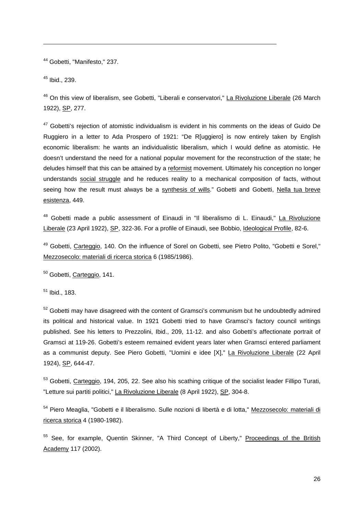44 Gobetti, "Manifesto," 237.

45 Ibid., 239.

<span id="page-25-0"></span>-

46 On this view of liberalism, see Gobetti, "Liberali e conservatori," La Rivoluzione Liberale (26 March 1922), SP, 277.

<sup>47</sup> Gobetti's rejection of atomistic individualism is evident in his comments on the ideas of Guido De Ruggiero in a letter to Ada Prospero of 1921: "De R[uggiero] is now entirely taken by English economic liberalism: he wants an individualistic liberalism, which I would define as atomistic. He doesn't understand the need for a national popular movement for the reconstruction of the state; he deludes himself that this can be attained by a reformist movement. Ultimately his conception no longer understands social struggle and he reduces reality to a mechanical composition of facts, without seeing how the result must always be a synthesis of wills." Gobetti and Gobetti, Nella tua breve esistenza, 449.

<sup>48</sup> Gobetti made a public assessment of Einaudi in "Il liberalismo di L. Einaudi," La Rivoluzione Liberale (23 April 1922), SP, 322-36. For a profile of Einaudi, see Bobbio, Ideological Profile, 82-6.

<sup>49</sup> Gobetti, Carteggio, 140. On the influence of Sorel on Gobetti, see Pietro Polito, "Gobetti e Sorel," Mezzosecolo: materiali di ricerca storica 6 (1985/1986).

50 Gobetti, Carteggio, 141.

51 Ibid., 183.

 $52$  Gobetti may have disagreed with the content of Gramsci's communism but he undoubtedly admired its political and historical value. In 1921 Gobetti tried to have Gramsci's factory council writings published. See his letters to Prezzolini, Ibid., 209, 11-12. and also Gobetti's affectionate portrait of Gramsci at 119-26. Gobetti's esteem remained evident years later when Gramsci entered parliament as a communist deputy. See Piero Gobetti, "Uomini e idee [X]," La Rivoluzione Liberale (22 April 1924), SP, 644-47.

53 Gobetti, Carteggio, 194, 205, 22. See also his scathing critique of the socialist leader Fillipo Turati, "Letture sui partiti politici," La Rivoluzione Liberale (8 April 1922), SP, 304-8.

54 Piero Meaglia, "Gobetti e il liberalismo. Sulle nozioni di libertà e di lotta," Mezzosecolo: materiali di ricerca storica 4 (1980-1982).

<sup>55</sup> See, for example, Quentin Skinner, "A Third Concept of Liberty," Proceedings of the British Academy 117 (2002).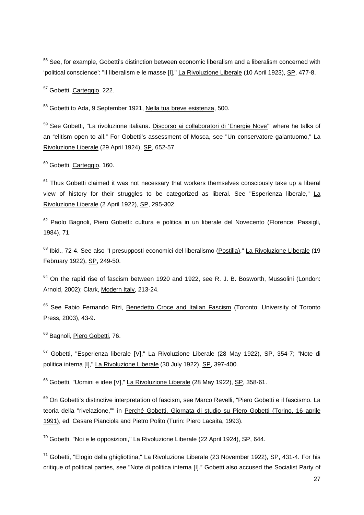<span id="page-26-0"></span><sup>56</sup> See, for example, Gobetti's distinction between economic liberalism and a liberalism concerned with 'political conscience': "Il liberalism e le masse [I]," La Rivoluzione Liberale (10 April 1923), SP, 477-8.

57 Gobetti, Carteggio, 222.

-

58 Gobetti to Ada, 9 September 1921, Nella tua breve esistenza, 500.

59 See Gobetti, "La rivoluzione italiana. Discorso ai collaboratori di 'Energie Nove'" where he talks of an "elitism open to all." For Gobetti's assessment of Mosca, see "Un conservatore galantuomo," La Rivoluzione Liberale (29 April 1924), SP, 652-57.

<sup>60</sup> Gobetti, Carteggio, 160.

 $61$  Thus Gobetti claimed it was not necessary that workers themselves consciously take up a liberal view of history for their struggles to be categorized as liberal. See "Esperienza liberale," La Rivoluzione Liberale (2 April 1922), SP, 295-302.

<sup>62</sup> Paolo Bagnoli, Piero Gobetti: cultura e politica in un liberale del Novecento (Florence: Passigli, 1984), 71.

63 Ibid., 72-4. See also "I presupposti economici del liberalismo (Postilla)," La Rivoluzione Liberale (19 February 1922), SP, 249-50.

<sup>64</sup> On the rapid rise of fascism between 1920 and 1922, see R. J. B. Bosworth, Mussolini (London: Arnold, 2002); Clark, Modern Italy, 213-24.

<sup>65</sup> See Fabio Fernando Rizi, Benedetto Croce and Italian Fascism (Toronto: University of Toronto Press, 2003), 43-9.

<sup>66</sup> Bagnoli, Piero Gobetti, 76.

<sup>67</sup> Gobetti, "Esperienza liberale [V]," La Rivoluzione Liberale (28 May 1922), SP, 354-7; "Note di politica interna [I]," La Rivoluzione Liberale (30 July 1922), SP, 397-400.

68 Gobetti, "Uomini e idee [V]," La Rivoluzione Liberale (28 May 1922), SP, 358-61.

69 On Gobetti's distinctive interpretation of fascism, see Marco Revelli, "Piero Gobetti e il fascismo. La teoria della "rivelazione,"" in Perché Gobetti. Giornata di studio su Piero Gobetti (Torino, 16 aprile 1991), ed. Cesare Pianciola and Pietro Polito (Turin: Piero Lacaita, 1993).

70 Gobetti, "Noi e le opposizioni," La Rivoluzione Liberale (22 April 1924), SP, 644.

71 Gobetti, "Elogio della ghigliottina," La Rivoluzione Liberale (23 November 1922), SP, 431-4. For his critique of political parties, see "Note di politica interna [I]." Gobetti also accused the Socialist Party of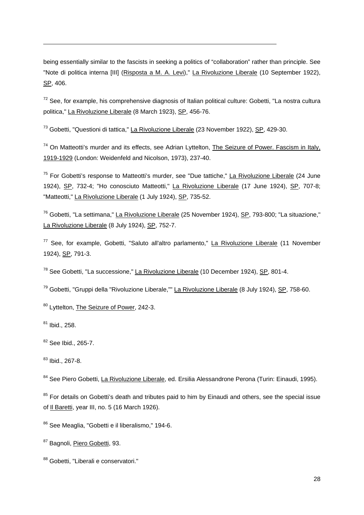<span id="page-27-0"></span>being essentially similar to the fascists in seeking a politics of "collaboration" rather than principle. See "Note di politica interna [III] (Risposta a M. A. Levi)," La Rivoluzione Liberale (10 September 1922), SP, 406.

 $72$  See, for example, his comprehensive diagnosis of Italian political culture: Gobetti, "La nostra cultura politica," La Rivoluzione Liberale (8 March 1923), SP, 456-76.

73 Gobetti, "Questioni di tattica," La Rivoluzione Liberale (23 November 1922), SP, 429-30.

 $74$  On Matteotti's murder and its effects, see Adrian Lyttelton, The Seizure of Power. Fascism in Italy, 1919-1929 (London: Weidenfeld and Nicolson, 1973), 237-40.

<sup>75</sup> For Gobetti's response to Matteotti's murder, see "Due tattiche," La Rivoluzione Liberale (24 June 1924), SP, 732-4; "Ho conosciuto Matteotti," La Rivoluzione Liberale (17 June 1924), SP, 707-8; "Matteotti," La Rivoluzione Liberale (1 July 1924), SP, 735-52.

76 Gobetti, "La settimana," La Rivoluzione Liberale (25 November 1924), SP, 793-800; "La situazione," La Rivoluzione Liberale (8 July 1924), SP, 752-7.

 $77$  See, for example, Gobetti, "Saluto all'altro parlamento," La Rivoluzione Liberale (11 November 1924), SP, 791-3.

78 See Gobetti, "La successione," La Rivoluzione Liberale (10 December 1924), SP, 801-4.

<sup>79</sup> Gobetti, "Gruppi della "Rivoluzione Liberale,"" La Rivoluzione Liberale (8 July 1924), SP, 758-60.

80 Lyttelton, The Seizure of Power, 242-3.

 $81$  Ibid., 258.

-

82 See Ibid., 265-7.

83 Ibid., 267-8.

84 See Piero Gobetti, La Rivoluzione Liberale, ed. Ersilia Alessandrone Perona (Turin: Einaudi, 1995).

<sup>85</sup> For details on Gobetti's death and tributes paid to him by Einaudi and others, see the special issue of Il Baretti, year III, no. 5 (16 March 1926).

86 See Meaglia, "Gobetti e il liberalismo," 194-6.

87 Bagnoli, Piero Gobetti, 93.

88 Gobetti, "Liberali e conservatori."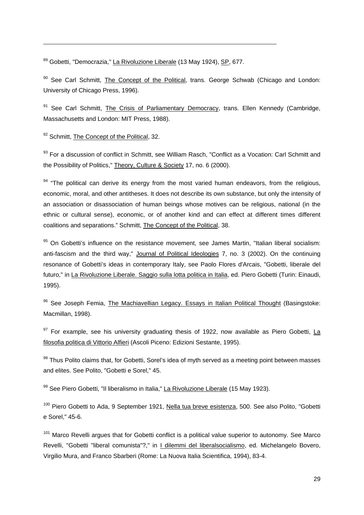<span id="page-28-0"></span>89 Gobetti, "Democrazia," La Rivoluzione Liberale (13 May 1924), SP, 677.

 $90$  See Carl Schmitt, The Concept of the Political, trans. George Schwab (Chicago and London: University of Chicago Press, 1996).

 $91$  See Carl Schmitt, The Crisis of Parliamentary Democracy, trans. Ellen Kennedy (Cambridge, Massachusetts and London: MIT Press, 1988).

92 Schmitt, The Concept of the Political, 32.

-

93 For a discussion of conflict in Schmitt, see William Rasch, "Conflict as a Vocation: Carl Schmitt and the Possibility of Politics," Theory, Culture & Society 17, no. 6 (2000).

 $94$  "The political can derive its energy from the most varied human endeavors, from the religious, economic, moral, and other antitheses. It does not describe its own substance, but only the intensity of an association or disassociation of human beings whose motives can be religious, national (in the ethnic or cultural sense), economic, or of another kind and can effect at different times different coalitions and separations." Schmitt, The Concept of the Political, 38.

95 On Gobetti's influence on the resistance movement, see James Martin, "Italian liberal socialism: anti-fascism and the third way," Journal of Political Ideologies 7, no. 3 (2002). On the continuing resonance of Gobetti's ideas in contemporary Italy, see Paolo Flores d'Arcais, "Gobetti, liberale del futuro," in La Rivoluzione Liberale. Saggio sulla lotta politica in Italia, ed. Piero Gobetti (Turin: Einaudi, 1995).

96 See Joseph Femia, The Machiavellian Legacy. Essays in Italian Political Thought (Basingstoke: Macmillan, 1998).

 $97$  For example, see his university graduating thesis of 1922, now available as Piero Gobetti, La filosofia politica di Vittorio Alfieri (Ascoli Piceno: Edizioni Sestante, 1995).

98 Thus Polito claims that, for Gobetti, Sorel's idea of myth served as a meeting point between masses and elites. See Polito, "Gobetti e Sorel," 45.

99 See Piero Gobetti, "Il liberalismo in Italia," La Rivoluzione Liberale (15 May 1923).

<sup>100</sup> Piero Gobetti to Ada, 9 September 1921, Nella tua breve esistenza, 500. See also Polito, "Gobetti e Sorel," 45-6.

<sup>101</sup> Marco Revelli argues that for Gobetti conflict is a political value superior to autonomy. See Marco Revelli, "Gobetti "liberal comunista"?," in I dilemmi del liberalsocialismo, ed. Michelangelo Bovero, Virgilio Mura, and Franco Sbarberi (Rome: La Nuova Italia Scientifica, 1994), 83-4.